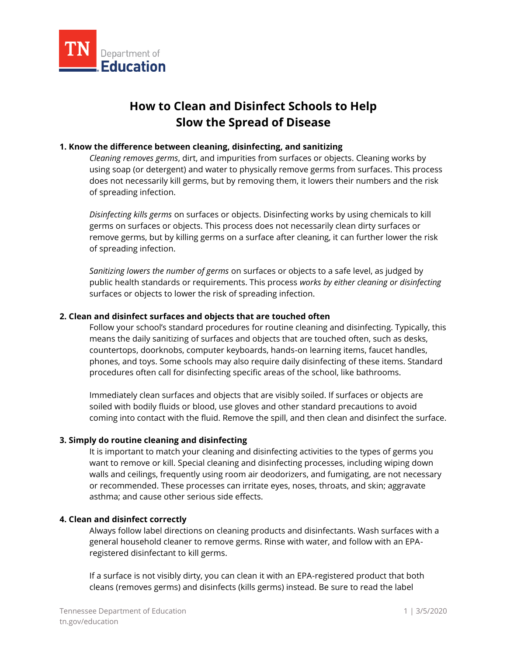

# **How to Clean and Disinfect Schools to Help Slow the Spread of Disease**

## **1. Know the difference between cleaning, disinfecting, and sanitizing**

*Cleaning removes germs*, dirt, and impurities from surfaces or objects. Cleaning works by using soap (or detergent) and water to physically remove germs from surfaces. This process does not necessarily kill germs, but by removing them, it lowers their numbers and the risk of spreading infection.

*Disinfecting kills germs* on surfaces or objects. Disinfecting works by using chemicals to kill germs on surfaces or objects. This process does not necessarily clean dirty surfaces or remove germs, but by killing germs on a surface after cleaning, it can further lower the risk of spreading infection.

*Sanitizing lowers the number of germs* on surfaces or objects to a safe level, as judged by public health standards or requirements. This process *works by either cleaning or disinfecting*  surfaces or objects to lower the risk of spreading infection.

### **2. Clean and disinfect surfaces and objects that are touched often**

Follow your school's standard procedures for routine cleaning and disinfecting. Typically, this means the daily sanitizing of surfaces and objects that are touched often, such as desks, countertops, doorknobs, computer keyboards, hands-on learning items, faucet handles, phones, and toys. Some schools may also require daily disinfecting of these items. Standard procedures often call for disinfecting specific areas of the school, like bathrooms.

Immediately clean surfaces and objects that are visibly soiled. If surfaces or objects are soiled with bodily fluids or blood, use gloves and other standard precautions to avoid coming into contact with the fluid. Remove the spill, and then clean and disinfect the surface.

### **3. Simply do routine cleaning and disinfecting**

It is important to match your cleaning and disinfecting activities to the types of germs you want to remove or kill. Special cleaning and disinfecting processes, including wiping down walls and ceilings, frequently using room air deodorizers, and fumigating, are not necessary or recommended. These processes can irritate eyes, noses, throats, and skin; aggravate asthma; and cause other serious side effects.

## **4. Clean and disinfect correctly**

Always follow label directions on cleaning products and disinfectants. Wash surfaces with a general household cleaner to remove germs. Rinse with water, and follow with an EPAregistered disinfectant to kill germs.

If a surface is not visibly dirty, you can clean it with an EPA-registered product that both cleans (removes germs) and disinfects (kills germs) instead. Be sure to read the label